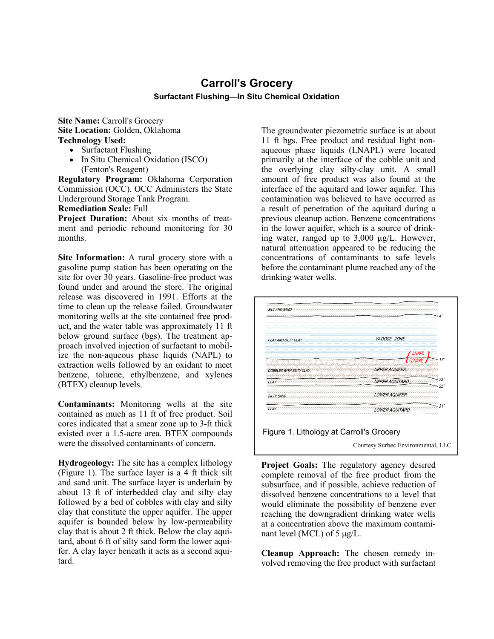## **Carroll's Grocery Surfactant Flushing—In Situ Chemical Oxidation**

**Site Name:** Carroll's Grocery **Site Location:** Golden, Oklahoma **Technology Used:**

- Surfactant Flushing
- In Situ Chemical Oxidation (ISCO) (Fenton's Reagent)

**Regulatory Program:** Oklahoma Corporation Commission (OCC). OCC Administers the State Underground Storage Tank Program.

**Remediation Scale:** Full

**Project Duration:** About six months of treatment and periodic rebound monitoring for 30 months.

**Site Information:** A rural grocery store with a gasoline pump station has been operating on the site for over 30 years. Gasoline-free product was found under and around the store. The original release was discovered in 1991. Efforts at the time to clean up the release failed. Groundwater monitoring wells at the site contained free product, and the water table was approximately 11 ft below ground surface (bgs). The treatment approach involved injection of surfactant to mobilize the non-aqueous phase liquids (NAPL) to extraction wells followed by an oxidant to meet benzene, toluene, ethylbenzene, and xylenes (BTEX) cleanup levels.

**Contaminants:** Monitoring wells at the site contained as much as 11 ft of free product. Soil cores indicated that a smear zone up to 3-ft thick existed over a 1.5-acre area. BTEX compounds were the dissolved contaminants of concern.

**Hydrogeology:** The site has a complex lithology (Figure 1). The surface layer is a 4 ft thick silt and sand unit. The surface layer is underlain by about 13 ft of interbedded clay and silty clay followed by a bed of cobbles with clay and silty clay that constitute the upper aquifer. The upper aquifer is bounded below by low-permeability clay that is about 2 ft thick. Below the clay aquitard, about 6 ft of silty sand form the lower aquifer. A clay layer beneath it acts as a second aquitard.

The groundwater piezometric surface is at about 11 ft bgs. Free product and residual light nonaqueous phase liquids (LNAPL) were located primarily at the interface of the cobble unit and the overlying clay silty-clay unit. A small amount of free product was also found at the interface of the aquitard and lower aquifer. This contamination was believed to have occurred as a result of penetration of the aquitard during a previous cleanup action. Benzene concentrations in the lower aquifer, which is a source of drinking water, ranged up to 3,000 µg/L. However, natural attenuation appeared to be reducing the concentrations of contaminants to safe levels before the contaminant plume reached any of the drinking water wells.



**Project Goals:** The regulatory agency desired complete removal of the free product from the subsurface, and if possible, achieve reduction of dissolved benzene concentrations to a level that would eliminate the possibility of benzene ever reaching the downgradient drinking water wells at a concentration above the maximum contaminant level (MCL) of 5 μg/L.

**Cleanup Approach:** The chosen remedy involved removing the free product with surfactant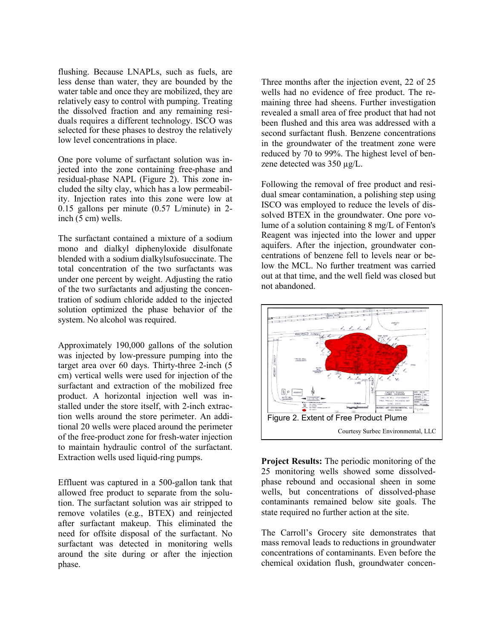flushing. Because LNAPLs, such as fuels, are less dense than water, they are bounded by the water table and once they are mobilized, they are relatively easy to control with pumping. Treating the dissolved fraction and any remaining residuals requires a different technology. ISCO was selected for these phases to destroy the relatively low level concentrations in place.

One pore volume of surfactant solution was injected into the zone containing free-phase and residual-phase NAPL (Figure 2). This zone included the silty clay, which has a low permeability. Injection rates into this zone were low at 0.15 gallons per minute (0.57 L/minute) in 2 inch (5 cm) wells.

The surfactant contained a mixture of a sodium mono and dialkyl diphenyloxide disulfonate blended with a sodium dialkylsufosuccinate. The total concentration of the two surfactants was under one percent by weight. Adjusting the ratio of the two surfactants and adjusting the concentration of sodium chloride added to the injected solution optimized the phase behavior of the system. No alcohol was required.

Approximately 190,000 gallons of the solution was injected by low-pressure pumping into the target area over 60 days. Thirty-three 2-inch (5 cm) vertical wells were used for injection of the surfactant and extraction of the mobilized free product. A horizontal injection well was installed under the store itself, with 2-inch extraction wells around the store perimeter. An additional 20 wells were placed around the perimeter of the free-product zone for fresh-water injection to maintain hydraulic control of the surfactant. Extraction wells used liquid-ring pumps.

Effluent was captured in a 500-gallon tank that allowed free product to separate from the solution. The surfactant solution was air stripped to remove volatiles (e.g., BTEX) and reinjected after surfactant makeup. This eliminated the need for offsite disposal of the surfactant. No surfactant was detected in monitoring wells around the site during or after the injection phase.

Three months after the injection event, 22 of 25 wells had no evidence of free product. The remaining three had sheens. Further investigation revealed a small area of free product that had not been flushed and this area was addressed with a second surfactant flush. Benzene concentrations in the groundwater of the treatment zone were reduced by 70 to 99%. The highest level of benzene detected was 350 µg/L.

Following the removal of free product and residual smear contamination, a polishing step using ISCO was employed to reduce the levels of dissolved BTEX in the groundwater. One pore volume of a solution containing 8 mg/L of Fenton's Reagent was injected into the lower and upper aquifers. After the injection, groundwater concentrations of benzene fell to levels near or below the MCL. No further treatment was carried out at that time, and the well field was closed but not abandoned.



**Project Results:** The periodic monitoring of the 25 monitoring wells showed some dissolvedphase rebound and occasional sheen in some wells, but concentrations of dissolved-phase contaminants remained below site goals. The state required no further action at the site.

The Carroll's Grocery site demonstrates that mass removal leads to reductions in groundwater concentrations of contaminants. Even before the chemical oxidation flush, groundwater concen-